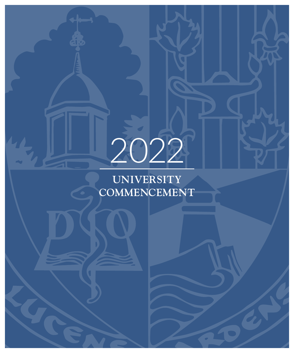# 2022

**UNIVERSITY COMMENCEMENT**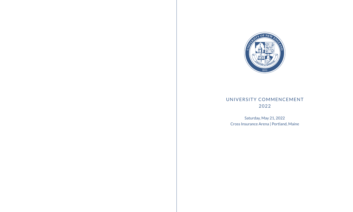

# UNIVERSITY COMMENCEMENT 2022

Saturday, May 21, 2022 Cross Insurance Arena | Portland, Maine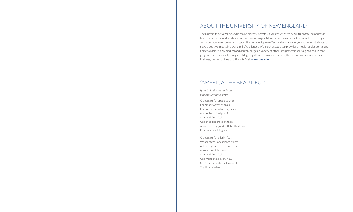# ABOUT THE UNIVERSITY OF NEW ENGLAND

The University of New England is Maine's largest private university, with two beautiful coastal campuses in Maine, a one-of-a-kind study-abroad campus in Tangier, Morocco, and an array of flexible online offerings. In an uncommonly welcoming and supportive community, we offer hands-on learning, empowering students to make a positive impact in a world full of challenges. We are the state's top provider of health professionals and home to Maine's only medical and dental colleges, a variety of other interprofessionally aligned health care programs, and nationally recognized degree paths in the marine sciences, the natural and social sciences, business, the humanities, and the arts. Visit **www.une.edu**

# "AMERICA THE BEAUTIFUL"

*Lyrics by Katharine Lee Bates Music by Samuel A. Ward*

O beautiful for spacious skies, For amber waves of grain, For purple mountain majesties Above the fruited plain! America! America! God shed His grace on thee And crown thy good with brotherhood From sea to shining sea!

O beautiful for pilgrim feet Whose stern impassioned stress A thoroughfare of freedom beat Across the wilderness! America! America! God mend thine every flaw, Confirm thy soul in self-control, Thy liberty in law!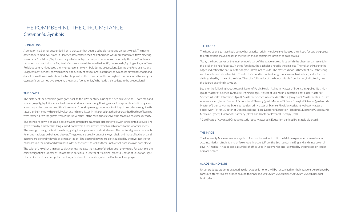# THE POMP BEHIND THE CIRCUMSTANCE *Ceremonial Symbols*

#### **GONFALONS**

A gonfalon is a banner suspended from a crossbar that bears a school's name and university seal. The name dates back to medieval times in Florence, Italy, where each neighborhood was represented at a town meeting, known as a "confalone," by its own flag, which displayed a unique coat of arms. Eventually, the word "confalone" became associated with the flag itself. Gonfalons were later used to identify households, fighting units, or offices. Religious communities used them to represent holy symbols during processions. During the Renaissance and Enlightenment periods, gonfalons gained popularity at educational institutions to symbolize different schools and disciplines within an institution. Each college within the University of New England is represented today by its own gonfalon, carried by a student, known as a "gonfalonier," who leads their college in the processional.

#### THE GOWN

The history of the academic gown goes back to the 12th century. During this period everyone — both men and women, royalty, lay folk, clerics, tradesmen, students — wore long flowing robes. The apparel varied in elegance according to the rank and wealth of the owner, from simple rough worsteds to rich gold brocades wrought with tassels and trimmed with colorful velvet and rich furs. It was in this period that the first organized bodies of learning were formed. From the gowns worn in the "universities" of the period have evolved the academic costumes of today.

The bachelor's gown is of simple design falling straight from a rather elaborate yoke with long pointed sleeves. The gown worn by a master has long, closed, somewhat fuller sleeves, which reach nearly to the wearer's knees. The arms go through slits at the elbow, giving the appearance of short sleeves. The doctoral gown is cut much fuller and has large bell-shaped sleeves. The gowns are usually, but not always, black, and those of bachelors and masters are generally devoid of ornamentation. The doctoral gowns are distinguished by the five-inch velvet panel around the neck and down both sides of the front, as well as three-inch velvet bars sewn on each sleeve.

The color of the velvet trim may be black or may indicate the nature of the degree of the wearer. For example, the color designating a Doctor of Philosophy is dark blue; a Doctor of Medicine, green; a Doctor of Education, light blue; a Doctor of Science, golden yellow; a Doctor of Humanities, white; a Doctor of Law, purple.

#### THE HOOD

The hood seems to have had a somewhat practical origin. Medieval monks used their hood for two purposes: to protect their shaved heads in the winter and as containers in which to collect alms.

Today the hood serves as the most symbolic part of the academic regalia by which the observer can ascertain the level and kind of degree. At three feet long, the bachelor's hood is the smallest. The velvet trim along the edges, indicating the nature of the degree, is two inches wide. The master's hood is three feet, six inches long and has a three-inch velvet trim. The doctor's hood is four feet long, has a five-inch wide trim, and is further distinguished by panels at the sides. The colorful interior of the hoods, visible from behind, indicates by hue the degree-granting institution.

Look for the following hoods today: Master of Public Health (salmon), Master of Science in Applied Nutrition (gold), Master of Science in Athletic Training (Sage), Master of Science in Education (light blue), Master of Science in Health Informatics (gold), Master of Science in Nurse Anesthesia (navy blue), Master of Health Care Administration (drab), Master of Occupational Therapy (gold), Master of Science Biological Sciences (goldenrod), Master of Science Marine Sciences (goldenrod), Master of Science Physician Assistant (yellow), Master of Social Work (citron), Doctor of Dental Medicine (lilac), Doctor of Education (light blue), Doctor of Osteopathic Medicine (green), Doctor of Pharmacy (olive), and Doctor of Physical Therapy (teal).

**\*** Certificate of Advanced Graduate Study (post-Master's) in Education signified by a single blue cord.

#### THE MACE

The University Mace serves as a symbol of authority, just as it did in the Middle Ages when a mace bearer accompanied an official taking office or opening court. From the 16th century in England and since colonial days in America, it has become a symbol of office used in ceremonies and is carried by the procession leader or mace bearer.

#### ACADEMIC HONORS

Undergraduate students graduating with academic honors will be recognized for their academic excellence by cords of different colors draped around their necks. *Summa cum laude* (gold), *magna cum laude* (blue), *cum laude* (silver).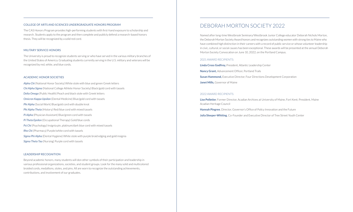#### COLLEGE OF ARTS AND SCIENCES UNDERGRADUATE HONORS PROGRAM

The CAS Honors Program provides high-performing students with first-hand exposure to scholarship and research. Students apply to the program and then complete and publicly defend a research-based honors thesis. They will be recognized by a solid red cord.

#### MILITARY SERVICE HONORS

The University is proud to recognize students serving or who have served in the various military branches of the United States of America. Graduating students currently serving in the U.S. military and veterans will be recognized by red, white, and blue cords.

#### ACADEMIC HONOR SOCIETIES

*Alpha Chi* (National Honor Society) White stole with blue and green Greek letters *Chi Alpha Sigma* (National College Athlete Honor Society) Black/gold cord with tassels *Delta Omega* (Public Health) Peach and black stole with Greek letters *Omicron Kappa Upsilon* (Dental Medicine) Blue/gold cord with tassels *Phi Alpha* (Social Work) Blue/gold cord with double knot *Phi Alpha Theta* (History) Red/blue cord with mixed tassels *Pi Alpha* (Physician Assistant) Blue/green cord with tassels *Pi Theta Epsilon* (Occupational Therapy) Gold/blue cords *Psi Chi* (Psychology) Insignia pin, platinum/dark blue cord with mixed tassels *Rho Chi* (Pharmacy) Purple/white cord with tassels *Sigma Phi Alpha* (Dental Hygiene) White stole with purple braid edging and gold insignia *Sigma Theta Tau* (Nursing) Purple cord with tassels

#### LEADERSHIP RECOGNITION

Beyond academic honors, many students will don other symbols of their participation and leadership in various professional organizations, societies, and student groups. Look for the many solid and multicolored braided cords, medallions, stoles, and pins. All are worn to recognize the outstanding achievements, contributions, and involvement of our graduates.

# DEBORAH MORTON SOCIETY 2022

Named after long-time Westbrook Seminary/Westbrook Junior College educator Deborah Nichols Morton, the Deborah Morton Society Award honors and recognizes outstanding women with strong ties to Maine who have combined high distinction in their careers with a record of public service or whose volunteer leadership in civic, cultural, or social causes has been exceptional. These awards will be presented at the annual Deborah Morton Society Convocation on June 10, 2022, on the Portland Campus.

#### 2021 AWARD RECIPIENTS:

**Linda Cross Godfrey,** President, Atlantic Leadership Center **Nancy Grant,** Advancement Officer, Portland Trails **Susan Hammond,** Executive Director, Four Directions Development Corporation **Janet Mills,** Governor of Maine

#### 2022 AWARD RECIPIENTS:

**Lise Pelletier**, Former Director, Acadian Archives at University of Maine, Fort Kent; President, Maine Acadian Heritage Council

**Hannah Pingree**, Director, Governor's Office of Policy Innovation and the Future

**Julia Sleeper-Whiting**, Co-Founder and Executive Director of Tree Street Youth Center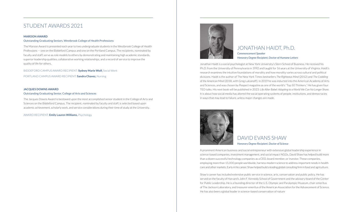# STUDENT AWARDS 2021

#### **MAROON AWARD**

#### Outstanding Graduating Seniors, Westbrook College of Health Professions

The Maroon Award is presented each year to two undergraduate students in the Westbrook College of Health Professions — one on the Biddeford Campus and one on the Portland Campus. The recipients, nominated by faculty and staff, serve as role models to others by demonstrating and maintaining high academic standards, superior leadership qualities, collaborative working relationships, and a record of service to improve the quality of life for others.

BIDDEFORD CAMPUS AWARD RECIPIENT: **Sydney Marie Wolf,** Social Work

PORTLAND CAMPUS AWARD RECIPIENT: **Sandra Chavez,** Nursing

#### **JACQUES DOWNS AWARD**

#### Outstanding Graduating Senior, College of Arts and Sciences

The Jacques Downs Award is bestowed upon the most accomplished senior student in the College of Arts and Sciences on the Biddeford Campus. The recipient, nominated by faculty and staff, is selected based upon academic achievement, scholarly work, and service considerations during their time of study at the University.

#### AWARD RECIPIENT: **Emily Lauren Williams,** Psychology



#### JONATHAN HAIDT, Ph.D. *Commencement Speaker Honorary Degree Recipient, Doctor of Humane Letters*

Jonathan Haidt is a social psychologist at New York University's Stern School of Business. He received his Ph.D. from the University of Pennsylvania in 1992 and taught for 16 years at the University of Virginia. Haidt's research examines the intuitive foundations of morality and how morality varies across cultural and political divisions. Haidt is the author of The New York Times bestsellers *The Righteous Mind* (2012) and *The Coddling of the American Mind* (2018, with Greg Lukianoff). In 2019 he was inducted into the American Academy of Arts and Sciences, and was chosen by *Prospect* magazine as one of the world's "Top 50 Thinkers." He has given four TED talks. His next book will be published in 2023: *Life After Babel: Adapting to a World We Can No Longer Share*. It is about how social media has altered the social operating systems of people, institutions, and democracies in ways that may lead to failure, unless major changes are made.



### DAVID EVANS SHAW *Honorary Degree Recipient, Doctor of Science*

A prominent American business and social entrepreneur with extensive global leadership experience in science-based companies, investment management, and social impact NGOs, David Shaw has helped build more than a dozen successful technology companies as a CEO, board member, or investor. These companies, employing more than 15,000 people worldwide, harness modern science to address important needs in health care and other markets. Early in his career, Shaw helped build a leading global consulting firm in food and agriculture.

Shaw's career has included extensive public service in science, arts, conservation and public policy. He has served on the faculty of Harvard's John F. Kennedy School of Government and the advisory board of the Center for Public Leadership. He is a founding director of the U.S. Olympic and Paralympic Museum, chair-emeritus of The Jackson Laboratory, and treasurer emeritus of the American Association for the Advancement of Science. He has also been a global leader in science-based conservation of nature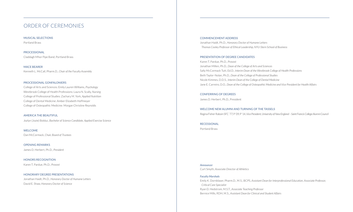# ORDER OF CEREMONIES

MUSICAL SELECTIONS Portland Brass

PROCESSIONAL Claddagh Mhor Pipe Band, Portland Brass

MACE BEARER Kenneth L. McCall, Pharm.D., *Chair of the Faculty Assembly*

#### PROCESSIONAL GONFALONIERS

College of Arts and Sciences: Emily Lauren Williams, *Psychology* Westbrook College of Health Professions: Laura N. Scally, *Nursing* College of Professional Studies: Zachary M. York, *Applied Nutrition* College of Dental Medicine: Amber Elizabeth Hoffmeyer College of Osteopathic Medicine: Morgan Christine Reynolds

#### AMERICA THE BEAUTIFUL

Jozlyn (Jozie) Bolduc, *Bachelor of Science Candidate, Applied Exercise Science*

WELCOME Dan McCormack, *Chair, Board of Trustees*

OPENING REMARKS James D. Herbert, Ph.D., *President*

HONORS RECOGNITION Karen T. Pardue, Ph.D., *Provost*

HONORARY DEGREE PRESENTATIONS Jonathan Haidt, Ph.D., *Honorary Doctor of Humane Letters* David E. Shaw, *Honorary Doctor of Science*

#### COMMENCEMENT ADDRESS

Jonathan Haidt, Ph.D., *Honorary Doctor of Humane Letters Thomas Cooley Professor of Ethical Leadership, NYU-Stern School of Business*

#### PRESENTATION OF DEGREE CANDIDATES

Karen T. Pardue, Ph.D., *Provost* Jonathan Millen, Ph.D., *Dean of the College of Arts and Sciences* Sally McCormack Tutt, Ed.D., *Interim Dean of the Westbrook College of Health Professions* Beth Taylor-Nolan, Ph.D., *Dean of the College of Professional Studies* Nicole Kimmes, D.D.S., *Interim Dean of the College of Dental Medicine* Jane E. Carreiro, D.O., *Dean of the College of Osteopathic Medicine and Vice President for Health Affairs*

CONFERRING OF DEGREES James D. Herbert, Ph.D., President

WELCOME NEW ALUMNI AND TURNING OF THE TASSELS Regina Fisher Raboin SFC '77, P '09, P' 14, *Vice President, University of New England – Saint Francis College Alumni Council*

RECESSIONAL

Portland Brass

*Announcer* Curt Smyth, *Associate Director of Athletics*

*Faculty Marshals* Emily K. Dornblaser, Pharm.D., M.S., BCPS, *Assistant Dean for Interprofessional Education, Associate Professor, Critical Care Specialist* Ryan D. Hedstrom, M.S.T., *Associate Teaching Professor* Bernice Mills, RDH, M.S., *Assistant Dean for Clinical and Student Affairs*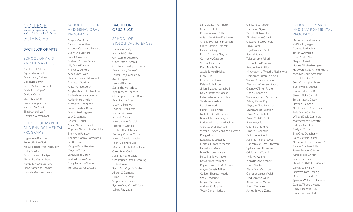# COLLEGE OF ARTS AND **SCIENCES**

#### BACHELOR OF ARTS

#### SCHOOL OF ARTS AND HUMANITIES

Jack Ernest Allsopp Taylor Mae Arnold Evelyn Mary Belmer\* Colton Benjamin Peter Michael Ciccarelli Olivia Rose Cigna\* Olivia A Cram Vivan E. Lizotte Laura Georgine Luchetti Nicholas W. Scarfo Elizabeth Sullivan\* Harrison W. Wardwell

#### SCHOOL OF MARINE AND ENVIRONMENTAL PROGRAMS

Logan Jean Barstow Robert Emilio Clark Kiara Rebekah Ann Frischkorn Haley Ann Griffin Courtney Anne Lavigne Alexandra Kay Michaud Montana Rose Stephens Fiona Katherine Thomas Hannah Mackenzie Welch

SCHOOL OF SOCIAL AND BEHAVIORAL PROGRAMS

Maggy Mae Aube Sara Maree Authier Amanda Catherine Barrese Eva Marie Bickford Luke E Colomey Michael Keenan Conry Lily Grace Damon Francis J. DeMers Alexis Rose Dyer Hannah Elizabeth Farewell Eric Scott Gardner Allison Grace Gervy Meghan Michelle Hamilton Ashley Nicole Karpowicz Ashley Nicole Kelley Meredith E. Kennedy Lucia Christina Koss Mason Reid Lagasse Jack C. Lamont Kristen J. Lebel Myiah Nichole Lockett Crystina Alexandria Mendolia Emily Ann Ramsey Thomas Mackay Rasmussen Scott K. Roy Keagan Rose Stenstrom Gregory Tsisar John Dodds Upton Jaiden Elmenia Veal Emily Lauren Williams Terrence James Ziccardi

#### **BACHELOR** OF SCIENCE

#### SCHOOL OF BIOLOGICAL SCIENCES

Jumana Alhanfy Nathaniel C. Alsup Christopher Andrews Galen Patrick Arnold Geoffrey Christopher Barber Evelyn Mary Belmer\* Parker Benjamin Belsky Amy Bhagaloo Jessica Bhagaloo Samantha Maria Blau Kyle Richard Boucher Christopher Edward Bourn Ryan Patrick Breen Libby K. Breznyak Taylor L. Brouillette Nathan W. Brown Nolan L. Cabral Nicole Marie Cacciola Ricardo A. Castillo Noah Jeffery Charest Anthony Charles Chase Nicolas Aurelio Ciraulo Faith Alexandra Coe Meghan Elizabeth Cookson Caleb Tyler Couillard Julianna Marie Davis Christopher James DeYoung Justin Dixson Sarah Ann Virginia Drake Allison C. Dumond Jillian B. Dusseault Stephanie V. Erickson Sydney-May Marie Ericson Labina Faizizada

Samuel Jason Farrington Chloe E. Fekete Rossini Alvarez Felix Allison Ann-Mary Frechette Amelia Evangeline Freeman Grace Kathryn Frohock Haley Lee Gagne Ethan Clarence Gagnon Connor M. Galardo Shelby A. Gerrior Kayla Marie Gray Jacob Edward Hickey\* Meryl Hila Heather G. Howard Keisha R. Jackson Jillian Elizabeth Jarzabski Devin Alexander Jozokos Katrina Andreevna Kelley Tyla Nicole Kelley Isabel Kennedy Sidney Nicole Knox Nicholas David Lakeman Brady John Lamontagne Ruddy Julian Landry-Paulino Alexa Gabriella Lanteri Victoria Francis Cardinale Lattanzi Dongju Lee Robyn Belle Leuteritz Melanie Elizabeth Mansir Laura Lynn Martens Lyle Christine Massoia Paige Marie Matthews David Miles McKenzie Peyton Elizabeth McKeown Alayna Celeste Miller Colleen Theresa Moody Shea T. Mooney Megan Morrison Andrew P. Murphy Tyson Daniel Nadeau

Christine C. Nelson Danthanh Nguyen Zeneth Richina Nheb Elizabeth Ann O'Neil Cassandra Lee O'Toole Priyal Patel Urja Kamlesh Patel Samuel Pavlyuk Tyler Jerome Pellerin Deidra Lynn Perreault Peyton Paul Phillips Mikayla Anne Tweedie Pietkiewicz Marygrace Susan Polsinelli William Charles Prescott Alessandro Simpson Puddu Chanoy O'Brien Rhule Noah R. Spagnolo Willem Rijnbout-St.James Ashley Renee Roy Abigayle Clara Sanstrom Lauren Abigail Scanlan Olivia Marie Schultz Sarah Christie Smith Sreyneang Sok Georgia D. Sommer Brooke A. Sorbello Emilee Ann Soucie Julia Morrison Steeves Hannah Sue-Carol Storman Sydney Lynn Thompson Olivia Lynne Turchi Kelly M. Wagner Kiara Rosalyn Walker Chase Walter Alexis Marie Watson Cameron James Welch Madison Ann Willis Afnan Saleem Yahya Jiwon Taylor Yu James Edward Zanca

#### SCHOOL OF MARINE AND ENVIRONMENTAL PROGRAMS

Davin James Alexander Kai Sterling Alger Garrett R. Almeida Taylor E. Almeida Brian Andre Alper Shaylee A. Amidon Haylee Elizabeth Angster Haley Christine Arnold-Fuchs McKayla Corin Arsenault Colin John Birch\* Sean Christopher Breen Bethany E. Brodbeck Emma Katherine Burke Steven Blake Carroll Tehya Natane Casey Hayden L. Cohan Nicole Jeanne Corriveau Julia Marie Crocker William David Curtin Jr. Matthew Scott Deyette Katelyn Ann Dimm Emily A. Dolan Erin Grey Dougherty Paige Victoria Dugan Nicholas Stephen Esposito\* Samuel Stephen Fuller Taylor Frances Gibson Ashlee Rose Griffith Caitlyn Lee Guerra Natalie Ruth Felicity Guertin Olivia Joan Hardy Drew William Haschig Dean L. Hernandez\* Spencer William Hokanson Garrett Thomas Hooper Emily Elizabeth Hunt Cameron David Indeck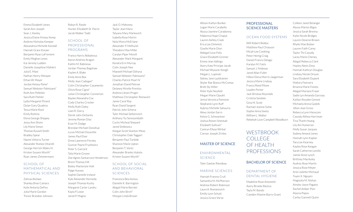Emma Elizabeth Jones Sarah Ann Joseph Sean J. Keeley Jessica Elaine Kinsey Kemp Andrew Nicholas Kemper Alexandrea Michelle Kendall Hannah Grace Korper Benjamin Ryan LaFreniere Emily Meghan Lewis Kai Jeremy Ludden Danielle Josephine Mahlert Julia E. Mast Nathan Henry Metayer Ethan W. Meyer Jordan Kelsey Paine\* Samuel Webster Palmisano\* Ruth Ann Pelletier Sara Ruth Piehler Lydia Margaret Pinard Dylan Gary Quadros Tessa Marie Rock Emily Rottino Elena George Shippey Jessy Ann Shore Lily Marie Simon Thomas Russell Smith Bradley Spear Naomi Vittoria Turner Alexander Romeo Vitarelli George Herrick Wales IV Kristen Susann Wurth\* Ryan James Zimmermann

#### SCHOOL OF MATHEMATICAL AND PHYSICAL SCIENCES

Zahraa Alsilawi Shanley Bree Camara Kylie Antonia DeFeo Julia Marie Gordon Trevor Brandon Johnson

Robyn R. Rawle Hunter Elizabeth St. Pierre Jacob Walker Todd

#### SCHOOL OF PROFESSIONAL PROGRAMS

Franco Harris Abbatessa Aaron Andrew Aragon Kaitlin M. Babineau Jordan Thomas Bagshaw Kaylee A. Blake Emily Anne Box Molly Jean Cadogan\* Colin Christopher Casamento Olivia Rose Cigna\* Julian Christopher Connerton Baylee Alexandra Cox Cody Charles Crocker Molly Ruth Daley Liam R. Darcy Derek John DeSantis Jeremy Roman Diaz Evan M. Dodge Brendan Michael Donohue Lucas Michael Doucette James Paul Elser Drew Lawrence Forsley Gunnar Payne Fryzlewicz Peter S. Garrard Talia Marie Grover Zoe Agnes Santacroce Henderson Brent Thomas Hill Bailey Mackenzie Holt Paige Hussey Sophie Danielle Ireland Kyle Alexander Kennedy Joseph Thomas Kucky Margaret Carter Landry Kayla P. Lowe Jared P. Magno

Jack O. Mahoney Taylor Jean Mara Tatyana Mary Markovich Isabella Rose Martin Nola Moira McErlane Alexander P. Melhuish Theodore Max Miller Caralyn Piper Morell Alexander Mark Morganti Kendra Erin Murray Colin Joseph Nee Maxwell Michael Odryna Samuel Webster Palmisano\* Charles Patrick Pearl IV Jonathan David Petrow Delaney Mirelle Prentiss Andrew Llewis Progin Matthew Christopher Remavich Jamie Carol Roy Ryan David Sargent Patrick John Schena Tyler Michael Seltenreich Anthony Tui Senesombath Curtis Micheal Shepard Jared Simkewicz Keegan Scott Stanton-Meas Christopher Dale Taggart Benjamin Paul Turbide Shannon Marie Upton Benjamin T. Vontz Alexander Branko Vukota Kristen Susann Wurth\*

#### SCHOOL OF SOCIAL AND BEHAVIORAL SCIENCES

Francesca Bea Asmus Danielle K. Barrington Abigail Marie Bernier Colin John Birch\* Morgan Linda Brown

Allison Kaitlyn Bunker Logan Marie Carabello Alyssa Jasmine Caradonna Makenna Hope Chaput Lauren Ashley Cisek Erica Lee Dimmick Giselle Marie Dion Abbigail Love Felix Grace Elizabeth Grenier Emma Jean Iddings Avery Kate Principe Jacob Michael Wysocki Keogh Megan L. Lupinski Sidney Jane Lyytikainen Skyler Rae Bianco McComas Brett Sly Miller Peter Kyle Neufeld Megan Marie Opsahl Jenna Veronica Pannone Stephanie Lynn Ruff Aubrey Michelle Sahouria Alexa Jordan Sarro Kelsie G. Schwantner Joshua Ronen Smestad Elizabeth Sullivan\* Camryn Ellyse Wirbal Connor Joseph Zrinko

#### MASTER OF SCIENCE

#### ENVIRONMENTAL SCIENCE

Tyler Gaetan Riendeau

#### MARINE SCIENCES

Hannah Frances Crull Samantha M. McPherson Andrew Robert Robinson Laura A. Romanovich Emilly Lynn Schutt Jessica Grace Vorse

#### PROFESSIONAL SCIENCE MASTERS

#### OCEAN FOOD SYSTEMS

Will Robert Bolduc Matthew Paul Chiasson Micah Lee Conkling Peter Hertig Craig Daniel Francis Delago Karalyn M. Falck Samuel J. Feldman Jared Allan Fuller Hillevi Elena Morris Jaegerman Jessica Marie Lindsay Franco Reed Pilone Louden Porter Jack Bristow Reynolds Cristina Sandolo Gina M. Scott Rachael Jeanne Suhie Sophie Anna Swetz William L. Walter Rebekah Love Campbell Woodburn

**WESTBROOK COLLEGE** OF HEALTH PROFESSIONS

#### BACHELOR OF SCIENCE

DEPARTMENT OF DENTAL HYGIENE Madeline Rose Antonetti Avery Brooke Backus Tayla M. Bando Camden Maxine Barry-Grant

Colleen Janet Belanger Alyssa Marion Bigos Jessica Sarah Brenna Katie Nicole Bridges Lauren Deanne Brown Rhylie Mae Bubier Lauren Faith Carey Taylor Thi Cassidy Lacey Marie Cheney Abigail Rebecca Clark Hayley Alexis Doss Hannah Kathryn Douglas Lindsey Nicole Drouin Sara Elizabeth Dupont Mallory Feenstra Brianna Marie Fontes Abigail Mariana Fraser Sadie Lyn Amanda Garceau Kaitlyn Rosalee Genest Michaela Annia Godzik Jillian Jean Gross Rebecca Lynn Hanscom Cassidy Althea Harriman Tina Thanh Hoang Lily Ani Humerian Molly Susan Jacques Sydney Amaral Jones Hannah Lynn Kaplan Tara Lee Kearney Kayley Rose Keogan Sarah Catherine Lorello Jaimie Anne Lynch Brittney MacAuley Audrey Rose Martin Jessica Rose Meyer Ariel Juliette Michaud Tuyen X. Nguyen Magnolia M. Nishan Ainsley Joyce Pagano Rachel Amber Pion Alyona Popov

Carley Gannett Quinn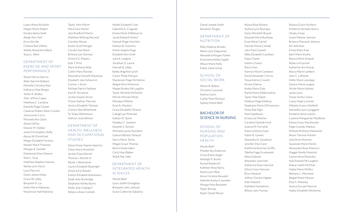#### Laney Alexia Richards Megan Marie Robert Kendra Alexia Swift Aleigh Ann Toof Erica Verville Chelsea Rae Villetta Shelby Alexandria Ward Stacy L. West

#### DEPARTMENT OF EXERCISE AND SPORT PERFORMANCE

Shane Patrick Alercio Alden Barrett Balboni Michelle Christine Barr Katheryn Mae Berger Jozlyn K. Bolduc Tyler Jeffrey Capen Matthew C. Cardona Danielle Paige Clymer Cameron Robert Allan Crocker Julia Louise Curro Michaela Ann Davis Alison DeFeo Eleanor M. Dekker Jared Christopher Duffy Alyssa W. Ehrenfried Megan Elizabeth Fecteau Natalie Marie Freeman Morgan A. Gamble Mackenzie Elise Gilmore Sean L. Gray Matthew Stephen Harkins Sidney Lynn Hurst Louis Paul Izzi Owen James Kelley Grace W. Libby Benjamin K. Lui Kellie Marie Mahoney Mackenzie Hall Mahoney

Taylor John Marsh Mia Grace Martel Jack Bradford Martin Matthew Whiting McLeod Caroline Meuse Austin Scott Morgan Carolyn Sue Nevin Brittany Lee Norman Victoria G. Powers Kyle T. Prior Mark Anthony Rella Caitlin Mary Riordan Alexandria Danielle Rousseau Elizabeth Jane Scheurich Connor J. Sirois Michael Patrick Spillane Karli R. Stroshine Jordan Kaylee Strum Trevor Nathan Therrien Jessica Elizabeth Tolzman Connor Alex Whitehead Ty Tobey Wilhelmsen Kathryn Julia Wilmot

#### DEPARTMENT OF HEALTH, WELLNESS AND OCCUPATIONAL STUDIES

Devon Elyse Haynes Aparicio Chloe Marie Armillotti Jordan Diana Banish Thomas J. Bartok III Wyatt J. Blackstone Lauren Elizabeth Boatright Victoria Eve Bowler Kaitlyn Elizabeth Bubnowicz Sarah Jean Burbridge Stephanie Ashley Burns Molly Jean Cadogan\* Rebecca Anne Corbett

Noelle Elizabeth Cote Gabriella A. Crugnale Emma Marie D'Abbraccio Jacob Edward Hickey\* Hannah Paige Hutchins Katelyn B. Hutchins Kaitlin Angela Kluge Elizabeth Ann Knell Julia A. Langlois Jonathan D. Laurie Hannah B. Libby Bailey Angeline Lynch Carter Philip Marquis Mackenzie Paige McHatton Abigail Nora McKenna Megan Brailey McLaughlin Taylor Michelle McPartlin Patrick Michael Mead Monique Millette Evan A. Moulton Grace Elizabeth Oliveira Caleigh Lyn Pimentel Kaitlyn M. Quirk Madalyn C. Sanborn Danielle S. Skinner Michaela Lynne Svendsen Gabriel Weston Tarbuck Sierra Marie Tartre Megan Grace Thomas Alicia Fionda Valeri Carly May Walker Shiloh Rae Yake

#### DEPARTMENT OF INTEGRATED HEALTH SCIENCES

Munib Abid\* Laura Judith Donaghey Benjamin John Jackson Grace Catherine Sabatino

#### Daniel Joseph Smith Benjamin Tougas

#### DEPARTMENT OF NUTRITION

Riley Madison Brooks Alexis Lorie Deguzman Alexandra Morgan Fowler Krystianna Kelley Ingalls Allison Marie Kelly Kailey Jayne Uresk

#### SCHOOL OF SOCIAL WORK

Allison B. Bolton Christine Constant Audrey Gavin Carlee Mae Michaud Sydney Marie Wolf

#### BACHELOR OF SCIENCE IN NURSING

#### SCHOOL OF NURSING AND POPULATION HEALTH

Munib Abid\* Phoebe Sky Anderson Grace Elaine Auger Ashleigh R. Austin Russell Baldocchi Kathleen Rose Barry Austin Lynn Bear Anna Christine Beaudet Nathalie Evelyn Cosmides Morgan Amy Benjamin Taylor Binney Ryder Daniel Blouin

Alyssa Rose Boilard Audrey Lynn Bourque Daisy Meredith Bryant Amanda Maria Bushway Evan Marie Carrell Hannah Marie Cassidy John Paul Caswell Abby Elizabeth Cavallaro Hajra Chand Sandra Chavez Rena Chen Kamryn Marie Compton David Alexander Correa Tessa Andria Crovetti Arman Dadras Kelley Marie Daly Rachel Anne DeBerardinis Taylor Mae Depot Madison Paige DeRosa Stephanie Marie DiFrancesco Diana Rae Elgin Mark Epelbaum Krista Lee Fletcher Caroline Danielle Ford Joanna M. Forristall Katerina Elena Gazis Kateri B. Gomes Alexandra N. Goodman Jennifer Elise Gore Katherine Brennan Griffin Tabitha Fogg Gruskowski Alexa Gullison Alexandra Jane Hall Katherine Rose Hancock Olivia Grace Harnum Bryn Heyland Jeffrey Charles Higbee Kate Howard Kathleen Humphries Allison Jane Hureau

Roxana Grace Hurlburt Kimberly Hurtado-Ibarra Uloaku Ireaja Grace Melone Jackson Brianna Theriault Johnson Aili Johnston Emma Mary Kast April Marie Kluthe Bianca Marie Krapian Rebecca Kryceski Katherine Ann Kukay Alyssa Marie Lambert John C. LaPointe Hallie Marie Latulippe Zyanna Marie League Nicole Marie Leblanc Jaclyn Lena Trevor Arthur Lewis Casey Hope Linchner Mikaela Grace Littlefield Samantha Lynn Ljunggren Kimberly Anne Loomis Caulene Marguerite MacBlane Emma Grace MacDonald Paige Cassidy Maheux Michael Anthony Mammone Alison Therese Martell Julia Anne Martens Savannah Marie Martin Alessandra Rose Martocci Maggie Noelle Maznicki Lauren Anna Mazzotta Kyle Edward McLaughlin Maeve Judith McPhail Hailey Marie McRea Bethany L. Merchant Abigail Marie Moisan Elise S. Moloney Jessica Eun jee Monroe Hailey Elizabeth Montminy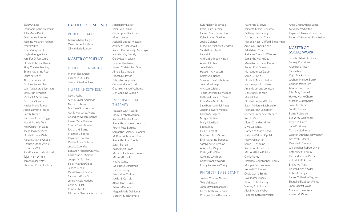Bailey A. Nitz Stephanie Gabrielle Pagan Julia Marie Paini Olivia Anne Paione Jasmine Melaney Parham Ivory Parker Dhara Vijay Patel Hayley Hedges Pylyp Jennifer D. Rancourt Elizabeth Louise Rando Riley Christopher Ray Emma Katherine Root Laura N. Scally Alexis Schneiderat Corinne Renee Shea Leah Alexandra Silverman Emily Ann Simpson Michael A. Steminsky Courtney Surette Kaylee Marie Toleos Alexis Lorraine Torres Brenly Treece Nicholas Robert Triggs Kiara Michelle Tully Kelli Claire Van Dam Joelle Ida May Viera Elizabeth Jane Walsh Karsyn Shayna Wheeler Harrison Stone Wilds Christina Wolf Sara Elisabeth Woodward Tyler Mark Wright Jenyssa Mae Yates Ebenezer Perfect Yeboah

# BACHELOR OF SCIENCE

#### PUBLIC HEALTH

Amanda Mary Gagne Owen Robert Nelson Olivia Marie Rando

#### MASTER OF SCIENCE

#### ATHLETIC TRAINING

Mariah Rose Aubin Elizabeth M Fuller Taylor Lillian Hopkins

#### NURSE ANESTHESIA

Novisi Abba Austin Taylor Anderson Nicolette Ariola Matthew Scott Austin Ashlie Margaret Ayotte Chandler William Barnes Elaina Marie Branco Sherry Dawn Bunker Richard H. Burns Michelle Calderini Raymund Claudio Denise Anne Coleman Jessica Coolidge Benjamin Richard Crawley Carla Marie D'Amour Joseph M. Earnhardt Soleil Mathieu Gibbs Jessica Gleba David Samuel Graham Samantha Rose Guzzi Jenna Nicole Hodges Colin A. Hulst Keisha Elsie Joyce Nicolette Elena Kapothanasis Jordan Ray Kelley Jami Lynn Lankin Christopher Robin Lee Marco Leeder Jaclyn Elizabeth Masters Ashley M. McDonald Robert Breckinridge Montague Natasha Kay Moody Corey Lee Mozisek Emanuel Nistrian Jarred Christopher Odor Aimee E. Schneider Megan M. Taylor Tobin Anthony Tollett Courtney Lynn Troisi Geoffrey Kamau Wahome Lien Caroline Woodin

#### OCCUPATIONAL THERAPY

Meagan Lynn Accardi Molly Elizabeth Arruda Katelyn Claudia Asmus Samantha Marie Auriemma Robyn Rose Barrett Samantha Galanty Belanger McKenna Christine Bender Samantha Joan Binnie Sarah Bonica Kailee Lynn Brace Michelle Catherine Browne Micaela Busack Nadira Canty Lydia Rose Christman Darren Chung Jessica Lee Collins Joelle N. Correia Alana Jane Currin Brianna DeLuca Megan Marie DeMorris Dorothy Kim Enomoto

Kyle Nelson Escovedo Lydia Leigh Farmer Lauren Mary Fedorchak Kylie Shanon Gardner Joolie Geldner Madeline Michelle Gendron Sarah Rose Hamlin Laura Hill Andrea Kathleen Hincks Anna Holmblad Julie Hsieh Hudson M. Hudson Kelsey A. Hughes Shannon Elizabeth Keavy Jolena Lin Lampron Aly Jean LeBlanc Trisha Dhenice M. Mabaet Kathryn Elizabeth Maiato Erin Marie McArdle Sage Paterson McKinney Joseph Edward Mooney Dakota S. Rogers Morgan Potvin Mary Alice Ryan Sade Salley Lula J. Sargent Madison Hines Stone Erin Katharine Sweeney Sarah Louise Titcomb Allison Joy Wigham Kathryn E. Willer Caroline L. Wilson Kolby Brooke Woods Corey Alexandra Young

#### PHYSICIAN ASSISTANT

Joshua Charles Abrams Tyler Atkinson John Edwin Baranowski Derek Anthony Bedami Kristyna Grace Bernatchez

Katherine E. Boyle Tamarah Marie Brousseau Brittany Lee Catling Aaron Jonathan Clark Marissa Hazel Clifford-Biederman Amelia Murphy Connell Talia Marie Cote Sadianne Amanda D'Andreti Samantha Marie Day Mara Rachel Rabin Discoe Robert Earl Downing Morgan Amber Dube Sarah E. Flynn Elizabeth Marie Harlow Karl Joseph Hurtubise Amanda Loretta Johnson Daly Anne Johnson Mia Kilekas Elizabeth Althea Kitchen Sarah Adrienne Lachapelle Michael John Lambrecht Spencer Frederick Lefebvre Keri L. Mavo Alden Chandler Milton Skye L. Murray Catherine Marie Napoli Nicholas Palmer Opolski Mary Parmenter Sarah E. Pasquine Katherine A. Pelletier Micaela Blaine Phillips Chris Pishev Matthew Christopher Prokey Morgan Jane Rodway Kenneth T. Sawyer Olivia Curtis Smith Ewelina W. Stanek Jason R. Stephansky Wesley A. Sulloway Alec Michael Walker Rebecca Kathleen Walsh

Anna Grace Arlena West Alexander Wharton Raymond James Zimmerman Rezeda Yakubovna Zinyatullova

#### MASTER OF SOCIAL WORK

Jennifer Marie Andersen Sydney K. Andreoli Alise Rose Anson Yacov Aviv Kayla Blackborow Graham Michael Botto Connor James Bry Allison Nicole Burt Eliza May Burwell Hayley Marie Chute Morgan Clattenburg Julia Dornbusch Todd L. Enders Elaina J. George Eva Wray Goldfinger Lynne M. Hatch John D. Kidney Tiarra M. LaPierre Connor O'Brien McSweeney Britney N. Merrill Danielle L. Mooers Christopher Robert O'Neil Katherine C. Perrin Kassandra Rose Pierce Abigail R. Pinkston Ericka M. Pyles Kristen Leigh Snyder Kelsey E. Teegan Laurel Catherine Tegtman Shanelle Elizabeth Wakita John Taggart Wass Madeline Bray Welch Amber M. Wilson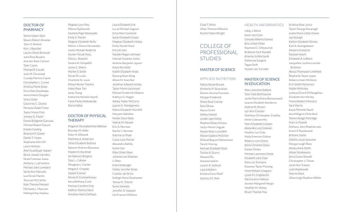#### DOCTOR OF **PHARMACY**

Selma Yasser Alani Steven Robert Anastas Tyler D. Boilard Kori J. Boucher Lauren Marie Brennan Julia Rose Busiere Autumn Rose Carlson Tyler Caron Michael R. Casale Julie M. Cleveland Cassidy Patricia Coyne Christopher L. Crowe Kristina Marie Deao Erica Mae Doubleday Jenna Marie Douglas Vince Dryer Courtney C. Duclos Nicholas Ralph Fisher Taylor Marie Fitch Jeremy G. Foster Emma Bridgette Garceau Michael Robert Gauvin Katalin Gosling Brianna M. Gower Daniel T. Hayes Stephanie Allin Hill Laura Holman Anel Guadalupe Jaquez Brock Joseph Johndro Noah Freeman Jones Anthony J. LaFreniere Michael John Lombard Sarah Ann Manuels Lea Nicole Martin Tara Lee McCarthy Kyle Thomas Menard Michaela L. Myerson MaKayla Ray Nadeau

Meghan Lynn Ney Milena Opielowski Savanna Page Patenaude Emily E. Poirier Meghan Elizabeth Reilly Melvin J. Rivera Hernandez Justin Michael Roderick Hunter Nicole Ross Olivia L. Rossetti Sandra M. Schipelliti Jessie C. Shiers Marlee S. Smith Nicole St. Louis Charlotte St. Louis Allison Renee Therien Haley Rose Torr Jacky Tsang Katherine Nichole Voynik Fanie Muika Wabwende Maria Xidias

#### DOCTOR OF PHYSICAL **THERAPY**

Magaret Oluwadamilola Adeloye Brendan M. Adler Kalyn R. Alibozek Matthew A. Anderson Jillian Elizabeth Battista Spencer Andrew Bourassa Hayden R. Buckhalt Ian Spencer Burgess Tyler L. Calimer Meaghan L. Cartier Megan E. Chapski Joseph Connor Nicole R. Constantineau Anna Bethany Cook Marissa Caroline Daly Kathryn Donna Davis Annelise Maria DePaulo

Lucas Michael Gagnon Erica Alice Guimond Sarah Elizabeth Haase Meghan Elizabeth Hickey Emily Nicole Hood Erica B. Ives Natalie Megan Johnson Hannah Suzanne Jones Andrew Benjamin Joyner Kayla Rey Kelly Kaitlin Elizabeth Knox Kyoung Koon Kong Alison M. Kuechler Jonathan Edward Lindau Taylor Marie Lockwood Michael Frederick Madore Kathryn G. Magee Ashley Taylor McCorry Lauren E. Montgomery Kaline Elizabeth Mulvihill Maryam Nahidian Parker Dean Nally Valerie M. Nesom Eric A. Norman Rachel J. Norman Katrina Le Pham Casey Lynn Poirier Alexandra Rahilly Sumin Seo Riley Osten Shea Julianne Lee Sheehan Li Shen Erika Simburger Holley Jennifer Sirois Cassidy Jae Sirois Kaleigh Marie Swainamer Teresa N. Thierer Suma Varanasi Jennifer D. Vasquez Lila Frances Williams

Laura Elizabeth Enk

#### Chad T. Winn Jillian Therese Witwicki Rachel Fallon Wright

# COLLEGE OF PROFESSIONAL **STUDIES**

#### MASTER OF SCIENCE

#### APPLIED NUTRITION

Felicia Nicole Bryant Kimberly M. Buonaiuto Dennis Jerome Fountain Morgan Frederick Shana Rose Garvey Sally Ghany Alyssa Grant Ashley Howell Lyndie Jaye Kelley Stephani Bates Knisley Jaclyn Marie Lingyak Alyson Rose Lunardelli Allison Isadora McErlain Dilshad Begum Mohammed Tara B. Murray Rachael Elizabeth Ryan Tunisia A. Scurry Howard Siu Amanda Soleim Lauren K. Sullivan Laura Walters Kristina Carol Wolf Zachary M. York

#### HEALTH INFORMATICS

Liddy J. Bileck Kevin Jon Earle Gonzalo Alberto Gomez Bria Ja'Net Miller Raymond C. Oleyourryk Braheem Tyrik Randall Arianna Jo Reichardt Katherine Sargent Tegan Swift Hunter Lee Turcotte

#### MASTER OF SCIENCE IN EDUCATION

Mara Jeannine Balboni Tyler Dale Berthiaume Jamie Marie Elaine Boissonnault Leanne Elizabeth Bordenca Andrea W. Brown Lori Ann Cloutier Matthew Christopher Coakley Annie Colesworthy Mary Elizabeth Condon Alexandra Lee Cookson Heather Lyn Cote Molly Emerson Dalton Rebecca Lynn Davis Alicia Christine Davis Kaylee Disher Michael Lawrence Doyle Elizabeth Jane Dyer Katie Lyn Emmons Shannon Taylor Fleming Mark William Gregoire Lynne M. Grigelevich Patricia Ann Hafener Jocelyn Margaret Hargis Heather M. Hickey Bryan Thomas Hoy

Kristina Rose Junco Taylor George Kavanagh Leaha Marie Lillian Keene Jay Keough Kaitlyn Elizabeth Kinney Karl A. Koenigsbauer Despina Kozulcali Rachael Kvech Elizabeth A. LeBlanc Jacqueline Justine Lesniak-**Brothers** Alyssa Thompson Littlefield Stephanie Taylor Lopez Rebecca Kate McGlone Erin Smith McGovern Mollie McKinley Lindsay Girard McNaughton Elizabeth Ann McVey Marco Robert Minnocci Sara Morris Kayla Michelle Nault Ana Milagros Olmo Beal Tamzin Reagh Partridge Mary V. Pinette Anthony John Popielarczyk Karen P. Ruszkowski Brittany Saello DeKilia Jovan Sessoms Morgan Leigh Shea Ashley Anne Smith Alison Stankiewicz Anna Grace Stowell Christopher J. Titone Janet Ann Trainor Julie Wasilewski Marcie West Jillian Leigh Rushton White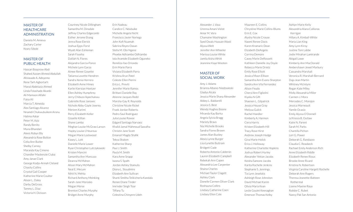#### MASTER OF **HEALTHCARE** ADMINISTRATION

Daniela M. Amieva Zachary Carter Keary Sibole

#### MASTER OF PUBLIC HEALTH

Hassan Boqorow Abdi Shahed Azzam Ahmed Abdullah Afolasade A. Adeyemo Rene Tarh Agbortarh Manal Abdelaziz Ahmed Linda Folashade Akanbi Ali Mamoon Alfalki Faisa Ali Marcia T. Almeida Alex Santiago Alvarez Nnamdi Chukwubuikem Aronu Halima Askar Peter M. Aziz Randy Benito Muna Bhandari Alexis Robyn Bly Alexandria Rose Bolton Celia Ann Butler Shelby Carney Maranda Kay Cimeno Chandler Mackenzie Ciuba Amy Janae Clark George Kodjo-Armah Cleland Chasity Collins Crystal Gail Cooper Katherine Marie Coulter Alison L. Daley Darby DeGross Tammy L. Diaz Victoria H. Dickson

Courtney Nicole Dillingham Samantha M. Dinsdale Jeffrey Charles Edgecomb Esther Jerome Ekang Jenna Rose Elerick Joshua Epps-Forst Wyatt Alan Eshleman Sarah Fisseha Dalilah N. Flores Alejandra Garcia-Ponce Michele Lynn Garza Aimee Renee Goyette Tatianna Lovette Hendren Sandra Xenia Herrera Elizabeth Anne Himes Karlie Kierstan Hoetzer Ellen Ashley Humphrey Jerry Chibuzo Ikpechukwu Gabrielle Rose Janovec Nichole Abby-Gayle Jowrey Meriem Karimi Perry Elizabeth Keller Gisselle Killian Shane Lamba Meghan Louise McGraw Larson Hayley Louise L'Heureux Megan Marie Lockwood Kasey L. Lott Danielle Marie Lower Ryan Christopher Lutrzykowski Kristen Mancini Samantha Ann Mancuso Deanna McMahon Alison Mary McMahon Neal E. Mecum Nihit N. Mehta Richard Anthony Meinking Sarah-Jane Morosko Megan Morse Brenton Charles Murphy Bridget Anne Murphy

Erin Nadeau Candice C. Ndubuike Michelle Angela Nicht Francisco Javier Noriega John Kofi Nuamah Sabrina Reyes Oasan Stella M. Obi-Ngene Phoebe Adhiambo Odhiambo Iola Aramide Elizabeth Oguneko Remiliza Ilao Oriondo Erin Marie Parra Viviana Elizabeth Parra Krishna Arun Patel Celeste Ellen Pierini Erica L. Previti Jennifer Marie Ramos Brittani Danielle Ray Atienne Jacques Redd Marsha-Gay R. Reynolds Christine Nicole Rickel Frank Jordan Roberts Pedro Saul Rodriguez Julia Louise Rowse Edgard Santiago Narvaez Khalid Jamal Mahmoud Sawalha Christin Jane Scott Emanoil Magdy Shafik Tekoa Shalom Katherine Sharp Paul J. Smith Paula M. Smith Kara Anne Snapp Iwona S. Spath Jordan Ashley Stamulis Diona L. Stoudmire Elizabeth Ann Sullivan Shanti Smitha Telikicherla Kandala Renee Diane Tinder Imrinder Singh Toor Tiffany Tu Celestina Chinyere Udeh

Alexander J. Vasa Urenna Amani Vielot Amar M. Vora Chamaine Washington Syed Owais Hussain Wasti Alyssa Welt Jennifer Ann Wheeler Marissa Louise White Jamila Aisha Whitt Jeannine Kaye Wooten

#### MASTER OF SOCIAL WORK

Amy J. Adams Brianna Albano-Niedzwieski Gladys Alcala Jessica Marie Sharp Alexander Abbey L. Baldarelli Jessica S. Best Wendy Hughes Boone Miranda Kay Borka Angela Sylvia Bragg Mariely Bravo Nia Michelle Brooks Sandra Flores Brown James Alan Buckey Alexis Lynne Burger Lisa Lynette Buttram Bridgett Cade Roberto Antonio Calderón Lauren Elizabeth Campbell Rebekah Ann Capen Alexandria Lee Carpenter Shaina Charles Michael Taylor Clagett Ashley Clark Donelle Carmen Oliver Clark Roshauna Collins Lindsey Catherine Coen Lindsey Ellen Cole

Maureen E. Collins Chrystine Marie Collins-Blums Erin E. Cox Alysha Nicole Crouse Naomi Renee Davis Karen Kramaric Dean Elizabeth DeAngelo Corrina Demore Casey Marie DeRossett Kathleen Danielle Joy Doyle Rebecca Marie Drietz Emily Rose Elliott Jessica Moon Ellison Samantha Ann Evans-Sharpton Sandra Ann Vila Fernandez Alison Feudo Cheryl Ann Figliolini Kiyeka N Gift Shaenen L. Gilpatrick Jessica House Gray Melissa Gulick Rachel Handler Kimberly A. Harmon Ciera Harris Kristen Elizabeth Hill Tracy Rose Hirst Andrew Joseph Hodge Gina Marie Holick Erica J. Holloway Katherine Charlotte Hopkins Joshua Robert Hurley Alexander Yettan Jacobs Keisha Samone Jacobs Karita Rochelle Jenkins Stephanie S. Jennings Tia Lynn Jeselskis Ashleigh Rose Johnston David Michael Karim Olivia Maria Kean Leslie Goulet Keenaghan Emerson Thomas Kelby

Ashlyn Marie Kelly Alexandria Alana Callioras Kerrigan Hillary A. Kimball-White Maria Lian King Amy Lynn Kiroy Justine Toni Labbe Jodie Minahan Lamirande Abigail Lowe Kimberly Ann MacDonald Ambershawn Jewel Marbury Cassandra Marshall Veronica R. Marshall-Bernard Daja Jean Martin Whitney McIntyre Regan Kate Miley Molly Alexandria Miller Carmen J. Mora Mercedes C. Morejon Jessica Morneault Yamile Ocasio Emily Alyssa O'Donnell Le'Kresia B. Outlaw Katie N. Parent Sarah M. Parks Chantilla Pichon Lori G. Power Deborah G. Randazzo Claudia C. Reasbeck Rachael Emily Anderson Rich Anne Elizabeth Riddle Elizabeth Renee Rioux Brooke Anne Rivard Kristina N. Robertson Virginia Caroline Hargett Rochelle Deborah Ann Rogers Theresa Jeanette-Batteen Rothermal Lianne Maxine Roux Robbie C. Rubet Nancy Pak San Antonio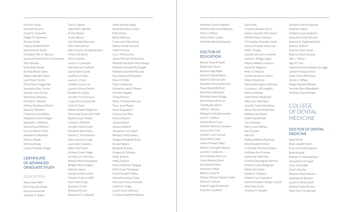Kie-Aire Savoy Samantha Scarfo Daniel G. Schwankl Megan M. Simmons Amylou Smith Haley Elizabeth Smith Sarah Gibson Smith Ginnipher Nik-ol' Spencer Suzanne Marie St.Pierre-Donovan Tasia Stewart Emily Beth Stover Brenda Allison Tame Robert Wendell Taylor Leah Marie Torello Olivia Rose Tryggestad Samantha Ellen Turner Jennifer Jane Turner Ruth Aziza Wansley Dentelle L. Warner Melissa Shoshana Weiner Susan A. Wheaton Cameron Irene White Stephanie Suanne Wigal Samantha J. Williams Kenya Dirae Williams Kai-Ley Wilson Herb Amanda N. Woodard Andrew Wyatt Mai Kou Xiong Cassey Michelle Yeager

#### **CERTIFICATE** OF ADVANCED GRADUATE STUDY

#### EDUCATION

Tanya Jean Adler Erin Mary Archibald Denise Arnauckas Timothy M. Baker

Tracy E. Bemis Gabriella E. Benitez Kristin Blume Jessica Bosco Lisa Orlando Bourassa Ellen Marie Breen Tyler Charles George Burdick Kristen W. Burke Gina Calandra Jaclyn A. Catanzaro Alex Rachael Caulfield Laura Marie Cloidt LisaMarie Collins Lauren L. Crum Jennifer Lynne Cyr Lauren Victoria DeLeo Bradford E. Devlin Jennifer Erin Donovan Craig Victor Drauschke Linda A. Dunn William Robert Edgerton Shannaedi Deanna El Fadili Rachel Louise Eleiott Celeste J. Elfstrom Jennifer Marie Evans Elizabeth Anne Ferry Denise C. Fitzsimmons John Lawrence Gage Laura Jean Giuliano Adam Paul Goad Brittany Greer Hager Jennifer Lee Harrison Ashley Marie Huckabone Bridget Mary Hughes Kathryn James Karolyn Linda Jordan Timothy Francis Kaliff Sara Marie Kulig Suzanne Lincoln Brittany ES Lind Roseanne F. Lombardi

Leslie Andrea López Alexandra Rose Loukas Kelly Macey Betty Makovoz Casey Lynn Manzolino Ashley Nicole Mariano Faith Marrano Lisa J. Martocchio James Michael Martocchio Michelle Elizabeth McCullough Michelle Amanda McDougall Kimberly Danielle McLeod Sean Watson McSweeny Steve D. Miller Patricia Newman Katharine Jane O'Meara Christen Papallo Trisha Pereira Maria Theresa Peterson Tracy Joan Phipps Susan Rappaport Christy Lynn Rich Victoria Rivera Jessica Ruskin Joshua Sanford Jacquelyn Irene Sawn Bethany Felicia Solury Meagan Elizabeth Soule Ronald Spears Benjamin Staines Gregory R. Stillman Molly Sullivan Haley Szuksta Mary Katherine Tanguay Kellei Irene Thompson Mary Elizabeth Tobey Samantha Louise Tukey Nicholas Francis Varanelli Lindsey A. Veiga Lauren Gray ViVenzio Caroline Madeline Wallace

Kathleen Cronin Wallace Matthew Bertrand Williams Peter S. Wilson Kaitlin Marie Zaidel Michelle Wood Zanauskas

#### DOCTOR OF EDUCATION

Bashar Farid Al Saadi Bobbi Lynn Avery Brenna Leigh Baker Andrew Michael Bard Daniel D. Barrancotta Elizabeth Heroux Bennert Tanya Renee Berfield Alicia Mary Bowman Michelle Ayotte Bragg Rachel Mary Brill-Lee Timothy Broadrick Jeffrey L. Brown Margaret Irving Brownlee Luke R. Callahan Leland Alton Caron Kimone Patricia Chambers Jessica Ann Clark Jennifer Lynn Cornell David Seth Cutler James Thomas Daley Robert Carlough Dawson Jennifer I. DeBurro Erik Anthony DeCicco David Andrew Dietz Erik Devon Dillon Kelly Ann Felton Rebecca Jane Fil Simone Patrice Flowers-Taylor Devon E. Fulford Kaycee Leigh Gnatowski Kelly Ann Gualtieri

Crystal LaShawn Harris Sandra Jeanette Hill-Glover William Major Johnson Christopher Brandon Jones Stacey Monique Jones Lee Dale F. Knapp Joscelin Jermaine Lockhart Andrea L. Briggs Logan Melissa Weber Lourenco Karen M. Maguire Peter D. Marano Catherine Ramos Marin Molly Mckechnie Dennis Barrington McKesey Courtney L. McLaughlin Monica Medina Todd Martin Medovich Nikki Lynn Mehrtens Jennifer Yaeko Mendicino Alyssa Nicole Mocharnuk Wallace Lee Moore Malik Muhammad Cory Munsey Sherri Lynn Nichols Karl O'Leary Ade Oni Wallace William Paseman Anne Elizabeth Pecor L Michelle Pinckney Stokes Kathleen Ann Provost Katherine Todd Race Cristina Dominguez Ramirez Anthony Lukas Redgrave Ashley Rae Salter Stanley F. Sampson Heather Lynn Saunders Rachel Elizabeth Seeber Conine Amy Puleo Sison Timothy M. Smolen

David Han

Donavon Patrick Soumas Matthew Speno Kimberly Lynn Stephens Sonja Anna Mae Stewart Autumn A. Vagtborg Straw Sean M. Sullivan Daveon James Swan Rebecca Nault Swasey Neil L. Trahan Ngo Tri Tran Sophia Lorraine Vasquez Scruggs Lamont Marquis Vines Emily Glista Whitmore Derek C. Whyte Megan Means Williams Jennifer Rose Woodward Michelle Diane Wright

# **COLLEGE** OF DENTAL MEDICINE

#### DOCTOR OF DENTAL **MEDICINE**

Sarah Afridi Brian Joseph Ahern Erick Leonardo Argueta Belal Assaedi Andrew M. Athanathious Jacqueline Lee Auger Goun Grace Bak Gino S. Barillas Shyanne Marie Barnes Anastasia A. Boutros Lauren E. Branscomb Andrew Taylor Bryant Peter Farr Christensen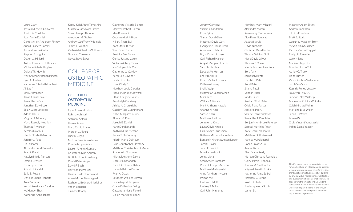Laura Clark Jessica Michelle Converse José Luis Cordoba Joan Annie Daniel Garrett Allen Anderson Finney Anna Elizabeth Forcey Jessica Lauren Guter Stephen E. Higgins Devon O. Hilliard Amber Elizabeth Hoffmeyer Michelle Valerie Hughes Dalena Thi Huynh Mark Anthony Rabon Iringan Lyric A. Jordan Katherine Elizabeth Lambert Ali Latif Emily Alcy Leach Jacob Grant Leavitt Samantha LeDuc Jonathan David Lee Elijah Lucas Leverett Adrian Hai Liu Meghan T. McAlary Mona Rasooly Meshkin Thomas P. Morgan Kerolos Nayrouz Nicole Elizabeth Nutter Jeniffer J. Paez Lia Palmacci Alexander Todd Parmater Sean P. Pierel Katelyn Marie Pierson Osama I. Potres Christopher Priest Patrick J. Randall Sofia E. Reagan Danielle Sherie Roberts Amal Samatar Komal Preet Kaur Sandhu Ivy Xiangyi Shen Katherine Anne Takacs

Kasey-Kalei Anne Tamashiro Michaela Tarnowicz Szwed Shaun Joseph Thomas Alexander M. Tooher Andrew Geoffrey Widdifield James E. Wrobel Zachariah Charles Wullbrandt Grace M. Yasewicz Nayda Roya Zakeri

# COLLEGE OF **OSTEOPATHIC** MEDICINE

#### DOCTOR OF **OSTEOPATHIC** MEDICINE

Elyse Ann Addonizio Raksha Adhikari Amaar S. Ahmad Humza Ahmed Noha Tasnia Ahmed Morgan L. Albert Lucy D. Algeo Melissa Francisca Allahua Dannielle Lynn Allen Lauren Arlene Altomare Kristofer Glynn Andrén Brett Andrew Armstrong Daniel Peter Auger David F. Bach Harrison Pierre Bai Hannah Gale Beachwood Annie Michel Beauregard Rachael L. Bednarz-Medeiros Vadim Belinschi Tirinder Bharaj

Catherine Victoria Bianco Maxwell Robert Blazon Idan Boussani Courtney Leigh Brann Hillary Pham Bui Kara Marie Button Sean Brian Byrne Beatrice Sue Byrne Cerise Justine Carey Victoria Ashley Caruso Ivy Chippendale Cass Catherine G. Cattley Kerbi Rae Cavanor Emily D. Certo Hsini Cindy Chu Matthew Louis Cloutier McCall Christie Cloward Ethan Gregory Collins Amy Leigh Courtney Ashley A. Cronkright Cassidy Tate Cunningham Ishbel Margaret Curry Allyson M. Daly Joseph E. Daniel Karin Darakananda Kaitlyn M. De Stefano James T. DeCourcey Kristin Marie DeMayo Evan Christopher Devanny Matthew Christopher DiMaria Shannon L. Donovan Michael Anthony Doyle Dori Drakhshandeh Daniel A. Drimer-Batca Hannah Britton Durant Ryan A. Dwosh Elisabeth Wallace Ekman Fides Angeli Elamparo Grace Catherine Ewing Cassandra Marie Farrell Dailen Marie Folkedahl

Jeremy Garneau Yasmin Ghandehari Erisa Gjinaj Tristan David Glenn Matthew David Gott Evangeline Clara Green Abraham J. Halstein Bryar Robert Hansen Carl Richard Hanson Abigail Margaret Hatch Sara Nicole Heard Douglas W. Herrett Emily Ruth Hill Devin Michael Hoover Cathleen Huang Sheila W. Ip Sujaay Hari Jagannathan Mark Jens William A. Karalis Mark Anthony Kassab Ananna N. Kazi Sarosh Khan Matthew J. Kilroe Jennifer L. Kirsch Laura Olivia Knapik Hillary Sage Landsman Bethany Michelle Laquidara Benjamin Nicholas Anton Larsen Jacob F. Laser Janet E. Lavrich Monika Lewkowicz Jenny Liang Sean Steven Lombard Vincent Joseph Martello Matthew Mashayekhi Anna Parkhurst McLean Wilson Mei Lindsay B. Mello Lindsey T. Millen Carl John Minnerath

Matthew Mark Mizzoni Alexandra Moran Ramasamy Muthuraman Alay Parul Nanavati Aastha Narula David Nicholas Christian David Noblett Thomas William Noll Mark David Oliver Thomas P. Oram Nicole Frances Parentela Bora Park Jai Kaushik Patel Darshit J. Patel Rutvi Patel Shama Patel Vandan Patel Riddhi Patel Roshan Dipak Patel Olivia Plato Patsos Jesse M. Peery Valerie Jean Pendleton Samantha T. Pendleton Benjamin Ambrose Peterson Samuel Matthias Pettit Katie Jean Polakowski Matthew D. Postolowski Karissa M. Rajagopal Rohan Prakash Rau Aashar Raza Ellen Marie Reidy Morgan Christine Reynolds Colby Patrick Rondeau Joanna M. Sajdlowska Nityasri Preethi Sankar Katherine Anne Seibel Matthew C. Senno Rushi D. Shah Frederique Ana Sirois Lester Sit

Matthew Adam Slitzky Andrew Jonathan Smith-Freedman Brett E. Stark Courtney Madelon Stern Steven Albin Suchacz Patrick Vincent Taggart Emily Jill Tamimie Caoxin Tang Madison Tippetts Brandon Justin Toll Ashley C. Tracy Hope Turner Varun Krishna Vadlapatla Jacob Van Vorst Kassidy Renee Veasaw ToQuynh Thuy Vu Jackson Riley Waldrip Madeleine Phillips Whitaker Caleb Michael Winn Maitland Blue Wiren Jenna L. Wozer Lyman Wu Craig Vincent Yanuszeski Indigo Deme Yeager

This Commencement program is intended for unofficial use only. It may not be used for legal purposes or for proof of the University's granting of degree to, or receipt of diploma by, any individual named herein. Contents of this publication reflect information available at or before the time of printing. Student names listed in this program reflect our best understanding, at the time of printing, of those students who completed all course requirements to graduate.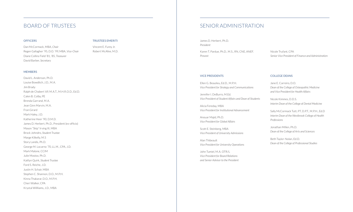# BOARD OF TRUSTEES

#### **OFFICERS**

Dan McCormack, MBA, *Chair* Regen Gallagher '95, D.O. '99, MBA, *Vice-Chair* Diane Collins Field '81, '85, *Treasurer* David Barber, *Secretary*

#### TRUSTEES EMERITI

Vincent E. Furey Jr. Robert McAfee, M.D.

#### MEMBERS

David L. Anderson, Ph.D. Louise Bowditch, J.D., M.A. Jim Brady Ralph de Chabert '69, M.A.T., M.H.R.O.D., Ed.D. Calen B. Colby, PE Brenda Garrand, M.A. Jean Ginn Marvin, M.A. Fran Girard Mark Haley, J.D. Katherine Heer '90, D.M.D. James D. Herbert, Ph.D., President (ex-officio) Mason "Skip" Irving III, MBA Brock Johndro, *Student Trustee* Marge Kilkelly, M.S Story Landis, Ph.D. George M. Locarno '70, LL.M., CPA, J.D. Mark Malone, CCIM Julie Mostov, Ph.D. Kaitlyn Quirk, *Student Trustee* Ford S. Reiche, J.D. Justin H. Schair, MBA Stephen C. Shannon, D.O., M.P.H. Kinna Thakarar, D.O., M.P.H. Cheri Walker, CPA Krystal Willliams, J.D., MBA

# SENIOR ADMINISTRATION

James D. Herbert, Ph.D. *President* Karen T. Pardue, Ph.D., M.S., RN, CNE, ANEF. *Provost*

Nicole Trufant, CPA *Senior Vice President of Finance and Administratio*n

#### VICE PRESIDENTS

Ellen G. Beaulieu, Ed.D., M.P.H. *Vice President for Strategy and Communications*

Jennifer I. DeBurro, M.Ed. *Vice President of Student Affairs and Dean of Students*

Alicia Fereday, MBA *Vice President for Institutional Advancement*

*Vice President for Global Affairs*

Scott E. Steinberg, MBA *Vice President of University Admissions*

Alan Thibeault *Vice President for University Operations*

John Tumiel, M.A. OTR/L *Vice President for Board Relations and Senior Advisor to the President*

#### COLLEGE DEANS

Jane E. Carreiro, D.O. *Dean of the College of Osteopathic Medicine and Vice President for Health Affairs*

Nicole Kimmes, D.D.S. *Interim Dean of the College of Dental Medicine*

Sally McCormack Tutt, PT, D.P.T., M.P.H., Ed.D *Interim Dean of the Westbrook College of Health Professions*

Jonathan Millen, Ph.D. *Dean of the College of Arts and Sciences*

Beth Taylor-Nolan, Ed.D. *Dean of the College of Professional Studies*

Anouar Majid, Ph.D.